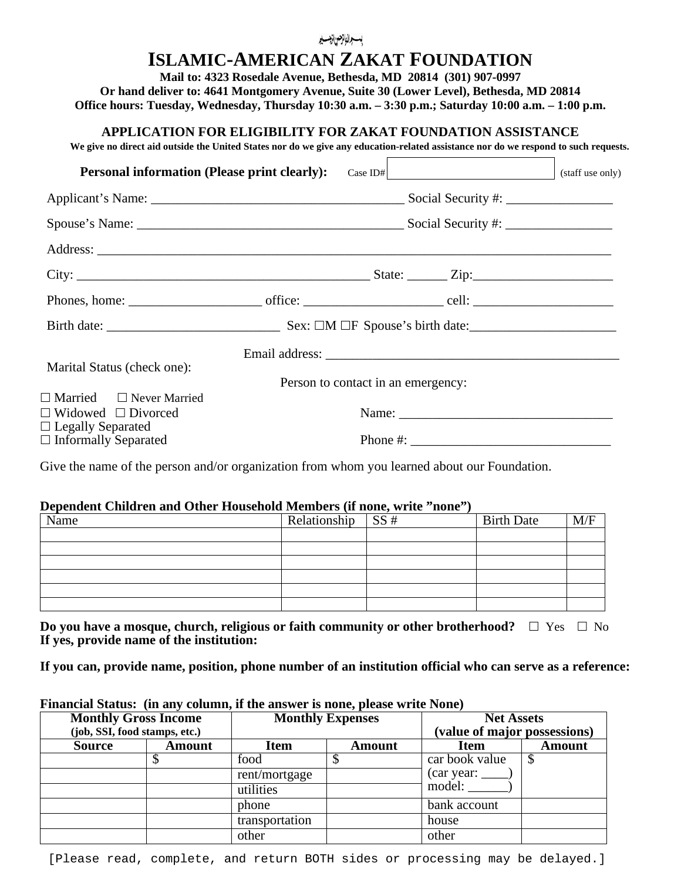# **ISLAMIC-AMERICAN ZAKAT FOUNDATION**

**Mail to: 4323 Rosedale Avenue, Bethesda, MD 20814 (301) 907-0997 Or hand deliver to: 4641 Montgomery Avenue, Suite 30 (Lower Level), Bethesda, MD 20814 Office hours: Tuesday, Wednesday, Thursday 10:30 a.m. – 3:30 p.m.; Saturday 10:00 a.m. – 1:00 p.m.**

## **APPLICATION FOR ELIGIBILITY FOR ZAKAT FOUNDATION ASSISTANCE**

**We give no direct aid outside the United States nor do we give any education-related assistance nor do we respond to such requests.**

| <b>Personal information (Please print clearly):</b>        |                                    | Case ID# $\vert$                                                                                                                                                                                                                                                                                       | (staff use only) |
|------------------------------------------------------------|------------------------------------|--------------------------------------------------------------------------------------------------------------------------------------------------------------------------------------------------------------------------------------------------------------------------------------------------------|------------------|
|                                                            |                                    |                                                                                                                                                                                                                                                                                                        |                  |
|                                                            |                                    |                                                                                                                                                                                                                                                                                                        |                  |
|                                                            |                                    |                                                                                                                                                                                                                                                                                                        |                  |
|                                                            |                                    |                                                                                                                                                                                                                                                                                                        |                  |
|                                                            |                                    |                                                                                                                                                                                                                                                                                                        |                  |
|                                                            |                                    |                                                                                                                                                                                                                                                                                                        |                  |
| Marital Status (check one):                                |                                    |                                                                                                                                                                                                                                                                                                        |                  |
| $\Box$ Married $\Box$ Never Married                        | Person to contact in an emergency: |                                                                                                                                                                                                                                                                                                        |                  |
| $\Box$ Widowed $\Box$ Divorced<br>$\Box$ Legally Separated |                                    |                                                                                                                                                                                                                                                                                                        |                  |
| $\Box$ Informally Separated                                |                                    | Phone #: $\frac{1}{2}$ = $\frac{1}{2}$ = $\frac{1}{2}$ = $\frac{1}{2}$ = $\frac{1}{2}$ = $\frac{1}{2}$ = $\frac{1}{2}$ = $\frac{1}{2}$ = $\frac{1}{2}$ = $\frac{1}{2}$ = $\frac{1}{2}$ = $\frac{1}{2}$ = $\frac{1}{2}$ = $\frac{1}{2}$ = $\frac{1}{2}$ = $\frac{1}{2}$ = $\frac{1}{2}$ = $\frac{1}{2}$ |                  |

Give the name of the person and/or organization from whom you learned about our Foundation.

#### **Dependent Children and Other Household Members (if none, write "none")**

| Name | Relationship $SS#$ | <b>Birth Date</b> | M/F |
|------|--------------------|-------------------|-----|
|      |                    |                   |     |
|      |                    |                   |     |
|      |                    |                   |     |
|      |                    |                   |     |
|      |                    |                   |     |
|      |                    |                   |     |

**Do you have a mosque, church, religious or faith community or other brotherhood?**  $\Box$  Yes  $\Box$  No **If yes, provide name of the institution:**

**If you can, provide name, position, phone number of an institution official who can serve as a reference:**

| I manchai Danabe (in any columny if the album is honey prease write Folle) |               |                         |        |                                        |        |
|----------------------------------------------------------------------------|---------------|-------------------------|--------|----------------------------------------|--------|
| <b>Monthly Gross Income</b>                                                |               | <b>Monthly Expenses</b> |        | <b>Net Assets</b>                      |        |
| (job, SSI, food stamps, etc.)                                              |               |                         |        | (value of major possessions)           |        |
| <b>Source</b>                                                              | <b>Amount</b> | <b>Item</b>             | Amount | <b>Item</b>                            | Amount |
|                                                                            |               | food                    |        | car book value                         |        |
|                                                                            |               | rent/mortgage           |        | $\frac{1}{2}$ (car year: $\frac{1}{2}$ |        |
|                                                                            |               | utilities               |        | model:                                 |        |
|                                                                            |               | phone                   |        | bank account                           |        |
|                                                                            |               | transportation          |        | house                                  |        |
|                                                                            |               | other                   |        | other                                  |        |

# **Financial Status: (in any column, if the answer is none, please write None)**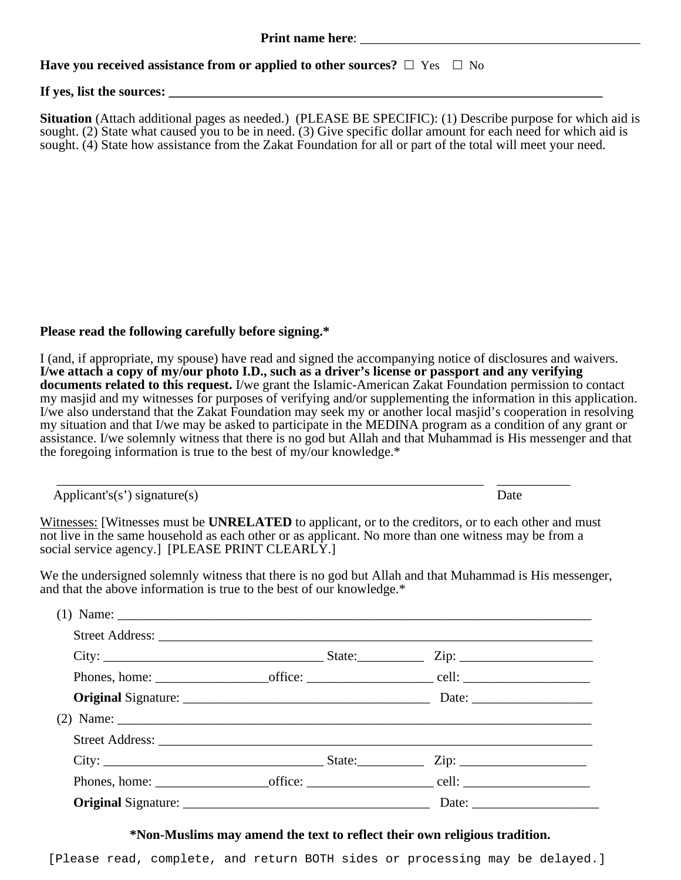**Have you received assistance from or applied to other sources?**  $\Box$  Yes  $\Box$  No

#### If yes, list the sources:

**Situation** (Attach additional pages as needed.) (PLEASE BE SPECIFIC): (1) Describe purpose for which aid is sought. (2) State what caused you to be in need. (3) Give specific dollar amount for each need for which aid is sought. (4) State how assistance from the Zakat Foundation for all or part of the total will meet your need.

## **Please read the following carefully before signing.\***

I (and, if appropriate, my spouse) have read and signed the accompanying notice of disclosures and waivers. **I/we attach a copy of my/our photo I.D., such as a driver's license or passport and any verifying documents related to this request.** I/we grant the Islamic-American Zakat Foundation permission to contact my masjid and my witnesses for purposes of verifying and/or supplementing the information in this application. I/we also understand that the Zakat Foundation may seek my or another local masjid's cooperation in resolving my situation and that I/we may be asked to participate in the MEDINA program as a condition of any grant or assistance. I/we solemnly witness that there is no god but Allah and that Muhammad is His messenger and that the foregoing information is true to the best of my/our knowledge.\*

Applicant's(s') signature(s) Date

Witnesses: [Witnesses must be **UNRELATED** to applicant, or to the creditors, or to each other and must not live in the same household as each other or as applicant. No more than one witness may be from a social service agency.] [PLEASE PRINT CLEARLY.]

\_\_\_\_\_\_\_\_\_\_\_\_\_\_\_\_\_\_\_\_\_\_\_\_\_\_\_\_\_\_\_\_\_\_\_\_\_\_\_\_\_\_\_\_\_\_\_\_\_\_\_\_\_\_\_\_\_\_\_\_\_\_\_\_ \_\_\_\_\_\_\_\_\_\_\_

We the undersigned solemnly witness that there is no god but Allah and that Muhammad is His messenger, and that the above information is true to the best of our knowledge.\*

| (1) Name: $\frac{1}{2}$ $\frac{1}{2}$ $\frac{1}{2}$ $\frac{1}{2}$ $\frac{1}{2}$ $\frac{1}{2}$ $\frac{1}{2}$ $\frac{1}{2}$ $\frac{1}{2}$ $\frac{1}{2}$ $\frac{1}{2}$ $\frac{1}{2}$ $\frac{1}{2}$ $\frac{1}{2}$ $\frac{1}{2}$ $\frac{1}{2}$ $\frac{1}{2}$ $\frac{1}{2}$ $\frac{1}{2}$ $\frac{1}{2}$ $\frac{1}{2}$ |  |  |
|-----------------------------------------------------------------------------------------------------------------------------------------------------------------------------------------------------------------------------------------------------------------------------------------------------------------|--|--|
|                                                                                                                                                                                                                                                                                                                 |  |  |
|                                                                                                                                                                                                                                                                                                                 |  |  |
|                                                                                                                                                                                                                                                                                                                 |  |  |
|                                                                                                                                                                                                                                                                                                                 |  |  |
|                                                                                                                                                                                                                                                                                                                 |  |  |
|                                                                                                                                                                                                                                                                                                                 |  |  |
|                                                                                                                                                                                                                                                                                                                 |  |  |
|                                                                                                                                                                                                                                                                                                                 |  |  |
|                                                                                                                                                                                                                                                                                                                 |  |  |
|                                                                                                                                                                                                                                                                                                                 |  |  |

**\*Non-Muslims may amend the text to reflect their own religious tradition.**

[Please read, complete, and return BOTH sides or processing may be delayed.]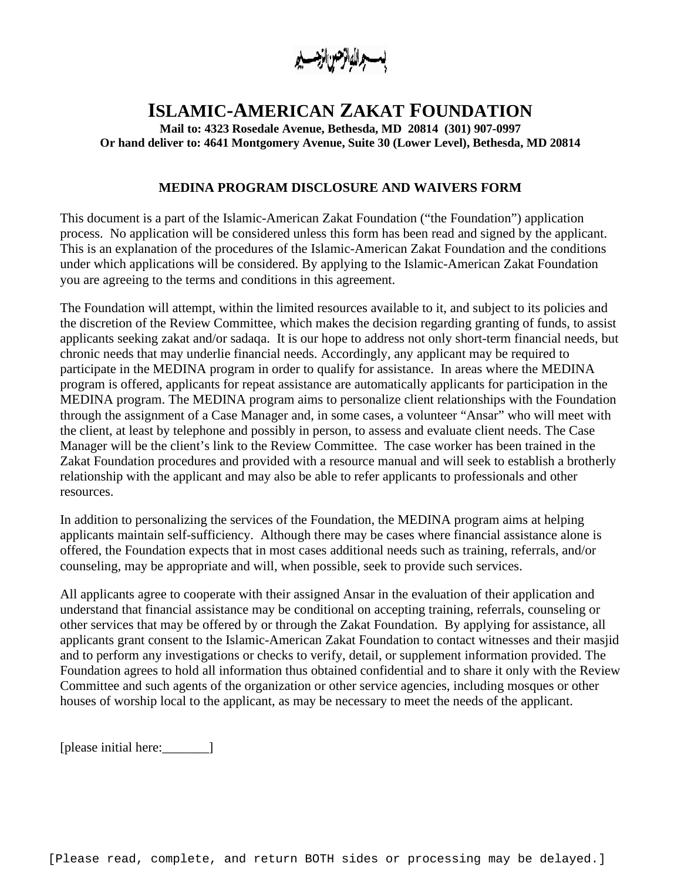بسب والاباتر صن الزجس يو

# **ISLAMIC-AMERICAN ZAKAT FOUNDATION**

**Mail to: 4323 Rosedale Avenue, Bethesda, MD 20814 (301) 907-0997 Or hand deliver to: 4641 Montgomery Avenue, Suite 30 (Lower Level), Bethesda, MD 20814**

#### **MEDINA PROGRAM DISCLOSURE AND WAIVERS FORM**

This document is a part of the Islamic-American Zakat Foundation ("the Foundation") application process. No application will be considered unless this form has been read and signed by the applicant. This is an explanation of the procedures of the Islamic-American Zakat Foundation and the conditions under which applications will be considered. By applying to the Islamic-American Zakat Foundation you are agreeing to the terms and conditions in this agreement.

The Foundation will attempt, within the limited resources available to it, and subject to its policies and the discretion of the Review Committee, which makes the decision regarding granting of funds, to assist applicants seeking zakat and/or sadaqa. It is our hope to address not only short-term financial needs, but chronic needs that may underlie financial needs. Accordingly, any applicant may be required to participate in the MEDINA program in order to qualify for assistance. In areas where the MEDINA program is offered, applicants for repeat assistance are automatically applicants for participation in the MEDINA program. The MEDINA program aims to personalize client relationships with the Foundation through the assignment of a Case Manager and, in some cases, a volunteer "Ansar" who will meet with the client, at least by telephone and possibly in person, to assess and evaluate client needs. The Case Manager will be the client's link to the Review Committee. The case worker has been trained in the Zakat Foundation procedures and provided with a resource manual and will seek to establish a brotherly relationship with the applicant and may also be able to refer applicants to professionals and other resources.

In addition to personalizing the services of the Foundation, the MEDINA program aims at helping applicants maintain self-sufficiency. Although there may be cases where financial assistance alone is offered, the Foundation expects that in most cases additional needs such as training, referrals, and/or counseling, may be appropriate and will, when possible, seek to provide such services.

All applicants agree to cooperate with their assigned Ansar in the evaluation of their application and understand that financial assistance may be conditional on accepting training, referrals, counseling or other services that may be offered by or through the Zakat Foundation. By applying for assistance, all applicants grant consent to the Islamic-American Zakat Foundation to contact witnesses and their masjid and to perform any investigations or checks to verify, detail, or supplement information provided. The Foundation agrees to hold all information thus obtained confidential and to share it only with the Review Committee and such agents of the organization or other service agencies, including mosques or other houses of worship local to the applicant, as may be necessary to meet the needs of the applicant.

[please initial here:\_\_\_\_\_\_\_]